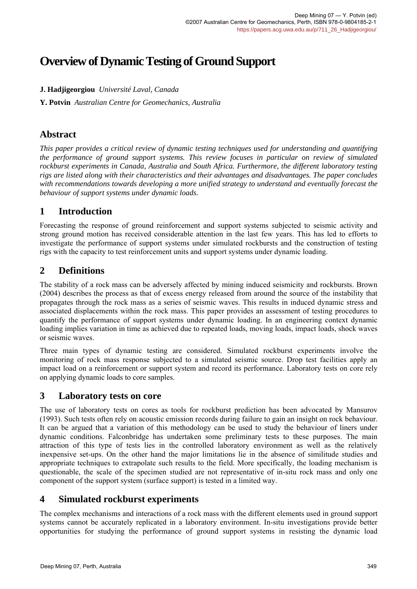# **Overview of Dynamic Testing of Ground Support**

# **J. Hadjigeorgiou** *Université Laval, Canada*

**Y. Potvin** *Australian Centre for Geomechanics, Australia*

# **Abstract**

*This paper provides a critical review of dynamic testing techniques used for understanding and quantifying the performance of ground support systems. This review focuses in particular on review of simulated rockburst experiments in Canada, Australia and South Africa. Furthermore, the different laboratory testing rigs are listed along with their characteristics and their advantages and disadvantages. The paper concludes with recommendations towards developing a more unified strategy to understand and eventually forecast the behaviour of support systems under dynamic loads.* 

# **1 Introduction**

Forecasting the response of ground reinforcement and support systems subjected to seismic activity and strong ground motion has received considerable attention in the last few years. This has led to efforts to investigate the performance of support systems under simulated rockbursts and the construction of testing rigs with the capacity to test reinforcement units and support systems under dynamic loading.

# **2 Definitions**

The stability of a rock mass can be adversely affected by mining induced seismicity and rockbursts. Brown (2004) describes the process as that of excess energy released from around the source of the instability that propagates through the rock mass as a series of seismic waves. This results in induced dynamic stress and associated displacements within the rock mass. This paper provides an assessment of testing procedures to quantify the performance of support systems under dynamic loading. In an engineering context dynamic loading implies variation in time as achieved due to repeated loads, moving loads, impact loads, shock waves or seismic waves.

Three main types of dynamic testing are considered. Simulated rockburst experiments involve the monitoring of rock mass response subjected to a simulated seismic source. Drop test facilities apply an impact load on a reinforcement or support system and record its performance. Laboratory tests on core rely on applying dynamic loads to core samples.

# **3 Laboratory tests on core**

The use of laboratory tests on cores as tools for rockburst prediction has been advocated by Mansurov (1993). Such tests often rely on acoustic emission records during failure to gain an insight on rock behaviour. It can be argued that a variation of this methodology can be used to study the behaviour of liners under dynamic conditions. Falconbridge has undertaken some preliminary tests to these purposes. The main attraction of this type of tests lies in the controlled laboratory environment as well as the relatively inexpensive set-ups. On the other hand the major limitations lie in the absence of similitude studies and appropriate techniques to extrapolate such results to the field. More specifically, the loading mechanism is questionable, the scale of the specimen studied are not representative of in-situ rock mass and only one component of the support system (surface support) is tested in a limited way.

# **4 Simulated rockburst experiments**

The complex mechanisms and interactions of a rock mass with the different elements used in ground support systems cannot be accurately replicated in a laboratory environment. In-situ investigations provide better opportunities for studying the performance of ground support systems in resisting the dynamic load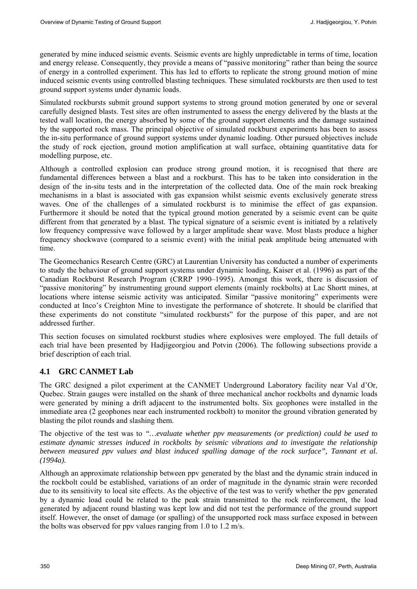generated by mine induced seismic events. Seismic events are highly unpredictable in terms of time, location and energy release. Consequently, they provide a means of "passive monitoring" rather than being the source of energy in a controlled experiment. This has led to efforts to replicate the strong ground motion of mine induced seismic events using controlled blasting techniques. These simulated rockbursts are then used to test ground support systems under dynamic loads.

Simulated rockbursts submit ground support systems to strong ground motion generated by one or several carefully designed blasts. Test sites are often instrumented to assess the energy delivered by the blasts at the tested wall location, the energy absorbed by some of the ground support elements and the damage sustained by the supported rock mass. The principal objective of simulated rockburst experiments has been to assess the in-situ performance of ground support systems under dynamic loading. Other pursued objectives include the study of rock ejection, ground motion amplification at wall surface, obtaining quantitative data for modelling purpose, etc.

Although a controlled explosion can produce strong ground motion, it is recognised that there are fundamental differences between a blast and a rockburst. This has to be taken into consideration in the design of the in-situ tests and in the interpretation of the collected data. One of the main rock breaking mechanisms in a blast is associated with gas expansion whilst seismic events exclusively generate stress waves. One of the challenges of a simulated rockburst is to minimise the effect of gas expansion. Furthermore it should be noted that the typical ground motion generated by a seismic event can be quite different from that generated by a blast. The typical signature of a seismic event is initiated by a relatively low frequency compressive wave followed by a larger amplitude shear wave. Most blasts produce a higher frequency shockwave (compared to a seismic event) with the initial peak amplitude being attenuated with time.

The Geomechanics Research Centre (GRC) at Laurentian University has conducted a number of experiments to study the behaviour of ground support systems under dynamic loading, Kaiser et al. (1996) as part of the Canadian Rockburst Research Program (CRRP 1990–1995). Amongst this work, there is discussion of "passive monitoring" by instrumenting ground support elements (mainly rockbolts) at Lac Shortt mines, at locations where intense seismic activity was anticipated. Similar "passive monitoring" experiments were conducted at Inco's Creighton Mine to investigate the performance of shotcrete. It should be clarified that these experiments do not constitute "simulated rockbursts" for the purpose of this paper, and are not addressed further.

This section focuses on simulated rockburst studies where explosives were employed. The full details of each trial have been presented by Hadjigeorgiou and Potvin (2006). The following subsections provide a brief description of each trial.

# **4.1 GRC CANMET Lab**

The GRC designed a pilot experiment at the CANMET Underground Laboratory facility near Val d'Or, Quebec. Strain gauges were installed on the shank of three mechanical anchor rockbolts and dynamic loads were generated by mining a drift adjacent to the instrumented bolts. Six geophones were installed in the immediate area (2 geophones near each instrumented rockbolt) to monitor the ground vibration generated by blasting the pilot rounds and slashing them.

The objective of the test was to *"…evaluate whether ppv measurements (or prediction) could be used to estimate dynamic stresses induced in rockbolts by seismic vibrations and to investigate the relationship between measured ppv values and blast induced spalling damage of the rock surface", Tannant et al. (1994a).*

Although an approximate relationship between ppv generated by the blast and the dynamic strain induced in the rockbolt could be established, variations of an order of magnitude in the dynamic strain were recorded due to its sensitivity to local site effects. As the objective of the test was to verify whether the ppv generated by a dynamic load could be related to the peak strain transmitted to the rock reinforcement, the load generated by adjacent round blasting was kept low and did not test the performance of the ground support itself. However, the onset of damage (or spalling) of the unsupported rock mass surface exposed in between the bolts was observed for ppv values ranging from 1.0 to 1.2 m/s.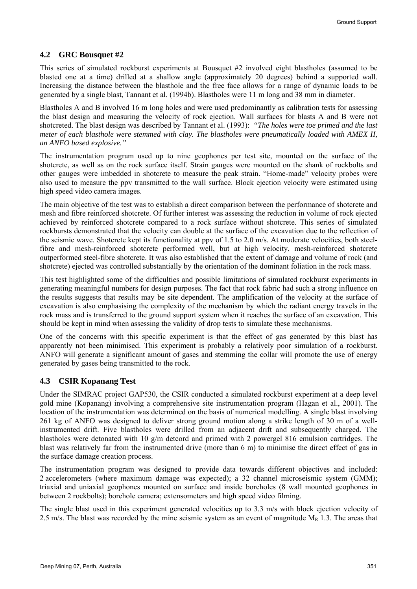### **4.2 GRC Bousquet #2**

This series of simulated rockburst experiments at Bousquet #2 involved eight blastholes (assumed to be blasted one at a time) drilled at a shallow angle (approximately 20 degrees) behind a supported wall. Increasing the distance between the blasthole and the free face allows for a range of dynamic loads to be generated by a single blast, Tannant et al. (1994b). Blastholes were 11 m long and 38 mm in diameter.

Blastholes A and B involved 16 m long holes and were used predominantly as calibration tests for assessing the blast design and measuring the velocity of rock ejection. Wall surfaces for blasts A and B were not shotcreted. The blast design was described by Tannant et al. (1993): *"The holes were toe primed and the last meter of each blasthole were stemmed with clay. The blastholes were pneumatically loaded with AMEX II, an ANFO based explosive."*

The instrumentation program used up to nine geophones per test site, mounted on the surface of the shotcrete, as well as on the rock surface itself. Strain gauges were mounted on the shank of rockbolts and other gauges were imbedded in shotcrete to measure the peak strain. "Home-made" velocity probes were also used to measure the ppv transmitted to the wall surface. Block ejection velocity were estimated using high speed video camera images.

The main objective of the test was to establish a direct comparison between the performance of shotcrete and mesh and fibre reinforced shotcrete. Of further interest was assessing the reduction in volume of rock ejected achieved by reinforced shotcrete compared to a rock surface without shotcrete. This series of simulated rockbursts demonstrated that the velocity can double at the surface of the excavation due to the reflection of the seismic wave. Shotcrete kept its functionality at ppv of 1.5 to 2.0 m/s. At moderate velocities, both steelfibre and mesh-reinforced shotcrete performed well, but at high velocity, mesh-reinforced shotcrete outperformed steel-fibre shotcrete. It was also established that the extent of damage and volume of rock (and shotcrete) ejected was controlled substantially by the orientation of the dominant foliation in the rock mass.

This test highlighted some of the difficulties and possible limitations of simulated rockburst experiments in generating meaningful numbers for design purposes. The fact that rock fabric had such a strong influence on the results suggests that results may be site dependent. The amplification of the velocity at the surface of excavation is also emphasising the complexity of the mechanism by which the radiant energy travels in the rock mass and is transferred to the ground support system when it reaches the surface of an excavation. This should be kept in mind when assessing the validity of drop tests to simulate these mechanisms.

One of the concerns with this specific experiment is that the effect of gas generated by this blast has apparently not been minimised. This experiment is probably a relatively poor simulation of a rockburst. ANFO will generate a significant amount of gases and stemming the collar will promote the use of energy generated by gases being transmitted to the rock.

### **4.3 CSIR Kopanang Test**

Under the SIMRAC project GAP530, the CSIR conducted a simulated rockburst experiment at a deep level gold mine (Kopanang) involving a comprehensive site instrumentation program (Hagan et al., 2001). The location of the instrumentation was determined on the basis of numerical modelling. A single blast involving 261 kg of ANFO was designed to deliver strong ground motion along a strike length of 30 m of a wellinstrumented drift. Five blastholes were drilled from an adjacent drift and subsequently charged. The blastholes were detonated with 10 g/m detcord and primed with 2 powergel 816 emulsion cartridges. The blast was relatively far from the instrumented drive (more than 6 m) to minimise the direct effect of gas in the surface damage creation process.

The instrumentation program was designed to provide data towards different objectives and included: 2 accelerometers (where maximum damage was expected); a 32 channel microseismic system (GMM); triaxial and uniaxial geophones mounted on surface and inside boreholes (8 wall mounted geophones in between 2 rockbolts); borehole camera; extensometers and high speed video filming.

The single blast used in this experiment generated velocities up to 3.3 m/s with block ejection velocity of 2.5 m/s. The blast was recorded by the mine seismic system as an event of magnitude  $M_R$  1.3. The areas that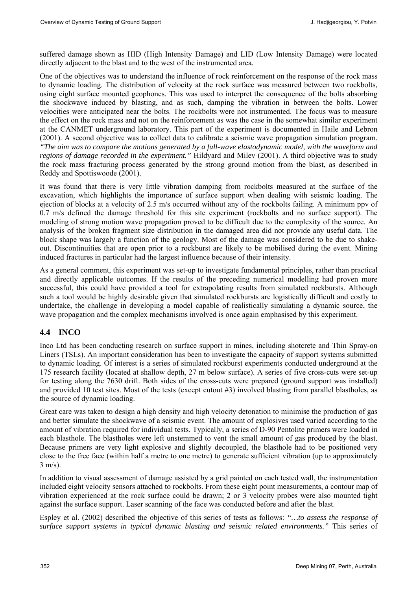suffered damage shown as HID (High Intensity Damage) and LID (Low Intensity Damage) were located directly adjacent to the blast and to the west of the instrumented area.

One of the objectives was to understand the influence of rock reinforcement on the response of the rock mass to dynamic loading. The distribution of velocity at the rock surface was measured between two rockbolts, using eight surface mounted geophones. This was used to interpret the consequence of the bolts absorbing the shockwave induced by blasting, and as such, damping the vibration in between the bolts. Lower velocities were anticipated near the bolts. The rockbolts were not instrumented. The focus was to measure the effect on the rock mass and not on the reinforcement as was the case in the somewhat similar experiment at the CANMET underground laboratory. This part of the experiment is documented in Haile and Lebron (2001). A second objective was to collect data to calibrate a seismic wave propagation simulation program. *"The aim was to compare the motions generated by a full-wave elastodynamic model, with the waveform and regions of damage recorded in the experiment."* Hildyard and Milev (2001). A third objective was to study the rock mass fracturing process generated by the strong ground motion from the blast, as described in Reddy and Spottiswoode (2001).

It was found that there is very little vibration damping from rockbolts measured at the surface of the excavation, which highlights the importance of surface support when dealing with seismic loading. The ejection of blocks at a velocity of 2.5 m/s occurred without any of the rockbolts failing. A minimum ppv of 0.7 m/s defined the damage threshold for this site experiment (rockbolts and no surface support). The modeling of strong motion wave propagation proved to be difficult due to the complexity of the source. An analysis of the broken fragment size distribution in the damaged area did not provide any useful data. The block shape was largely a function of the geology. Most of the damage was considered to be due to shakeout. Discontinuities that are open prior to a rockburst are likely to be mobilised during the event. Mining induced fractures in particular had the largest influence because of their intensity.

As a general comment, this experiment was set-up to investigate fundamental principles, rather than practical and directly applicable outcomes. If the results of the preceding numerical modelling had proven more successful, this could have provided a tool for extrapolating results from simulated rockbursts. Although such a tool would be highly desirable given that simulated rockbursts are logistically difficult and costly to undertake, the challenge in developing a model capable of realistically simulating a dynamic source, the wave propagation and the complex mechanisms involved is once again emphasised by this experiment.

# **4.4 INCO**

Inco Ltd has been conducting research on surface support in mines, including shotcrete and Thin Spray-on Liners (TSLs). An important consideration has been to investigate the capacity of support systems submitted to dynamic loading. Of interest is a series of simulated rockburst experiments conducted underground at the 175 research facility (located at shallow depth, 27 m below surface). A series of five cross-cuts were set-up for testing along the 7630 drift. Both sides of the cross-cuts were prepared (ground support was installed) and provided 10 test sites. Most of the tests (except cutout #3) involved blasting from parallel blastholes, as the source of dynamic loading.

Great care was taken to design a high density and high velocity detonation to minimise the production of gas and better simulate the shockwave of a seismic event. The amount of explosives used varied according to the amount of vibration required for individual tests. Typically, a series of D-90 Pentolite primers were loaded in each blasthole. The blastholes were left unstemmed to vent the small amount of gas produced by the blast. Because primers are very light explosive and slightly decoupled, the blasthole had to be positioned very close to the free face (within half a metre to one metre) to generate sufficient vibration (up to approximately 3 m/s).

In addition to visual assessment of damage assisted by a grid painted on each tested wall, the instrumentation included eight velocity sensors attached to rockbolts. From these eight point measurements, a contour map of vibration experienced at the rock surface could be drawn; 2 or 3 velocity probes were also mounted tight against the surface support. Laser scanning of the face was conducted before and after the blast.

Espley et al. (2002) described the objective of this series of tests as follows: *"…to assess the response of surface support systems in typical dynamic blasting and seismic related environments."* This series of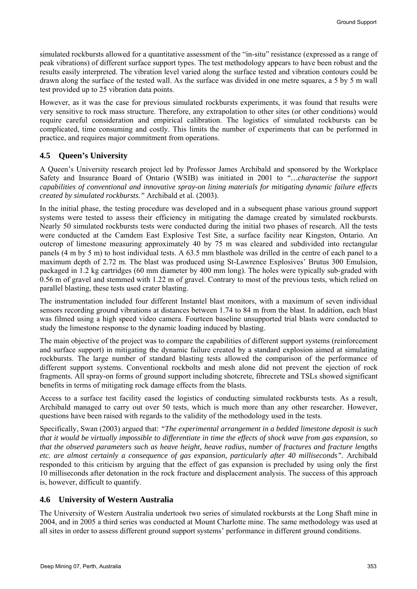simulated rockbursts allowed for a quantitative assessment of the "in-situ" resistance (expressed as a range of peak vibrations) of different surface support types. The test methodology appears to have been robust and the results easily interpreted. The vibration level varied along the surface tested and vibration contours could be drawn along the surface of the tested wall. As the surface was divided in one metre squares, a 5 by 5 m wall test provided up to 25 vibration data points.

However, as it was the case for previous simulated rockbursts experiments, it was found that results were very sensitive to rock mass structure. Therefore, any extrapolation to other sites (or other conditions) would require careful consideration and empirical calibration. The logistics of simulated rockbursts can be complicated, time consuming and costly. This limits the number of experiments that can be performed in practice, and requires major commitment from operations.

#### **4.5 Queen's University**

A Queen's University research project led by Professor James Archibald and sponsored by the Workplace Safety and Insurance Board of Ontario (WSIB) was initiated in 2001 to *"…characterise the support capabilities of conventional and innovative spray-on lining materials for mitigating dynamic failure effects created by simulated rockbursts."* Archibald et al. (2003).

In the initial phase, the testing procedure was developed and in a subsequent phase various ground support systems were tested to assess their efficiency in mitigating the damage created by simulated rockbursts. Nearly 50 simulated rockbursts tests were conducted during the initial two phases of research. All the tests were conducted at the Camdem East Explosive Test Site, a surface facility near Kingston, Ontario. An outcrop of limestone measuring approximately 40 by 75 m was cleared and subdivided into rectangular panels (4 m by 5 m) to host individual tests. A 63.5 mm blasthole was drilled in the centre of each panel to a maximum depth of 2.72 m. The blast was produced using St-Lawrence Explosives' Brutus 300 Emulsion, packaged in 1.2 kg cartridges (60 mm diameter by 400 mm long). The holes were typically sub-graded with 0.56 m of gravel and stemmed with 1.22 m of gravel. Contrary to most of the previous tests, which relied on parallel blasting, these tests used crater blasting.

The instrumentation included four different Instantel blast monitors, with a maximum of seven individual sensors recording ground vibrations at distances between 1.74 to 84 m from the blast. In addition, each blast was filmed using a high speed video camera. Fourteen baseline unsupported trial blasts were conducted to study the limestone response to the dynamic loading induced by blasting.

The main objective of the project was to compare the capabilities of different support systems (reinforcement and surface support) in mitigating the dynamic failure created by a standard explosion aimed at simulating rockbursts. The large number of standard blasting tests allowed the comparison of the performance of different support systems. Conventional rockbolts and mesh alone did not prevent the ejection of rock fragments. All spray-on forms of ground support including shotcrete, fibrecrete and TSLs showed significant benefits in terms of mitigating rock damage effects from the blasts.

Access to a surface test facility eased the logistics of conducting simulated rockbursts tests. As a result, Archibald managed to carry out over 50 tests, which is much more than any other researcher. However, questions have been raised with regards to the validity of the methodology used in the tests.

Specifically, Swan (2003) argued that: *"The experimental arrangement in a bedded limestone deposit is such that it would be virtually impossible to differentiate in time the effects of shock wave from gas expansion, so that the observed parameters such as heave height, heave radius, number of fractures and fracture lengths etc. are almost certainly a consequence of gas expansion, particularly after 40 milliseconds".* Archibald responded to this criticism by arguing that the effect of gas expansion is precluded by using only the first 10 milliseconds after detonation in the rock fracture and displacement analysis. The success of this approach is, however, difficult to quantify.

#### **4.6 University of Western Australia**

The University of Western Australia undertook two series of simulated rockbursts at the Long Shaft mine in 2004, and in 2005 a third series was conducted at Mount Charlotte mine. The same methodology was used at all sites in order to assess different ground support systems' performance in different ground conditions.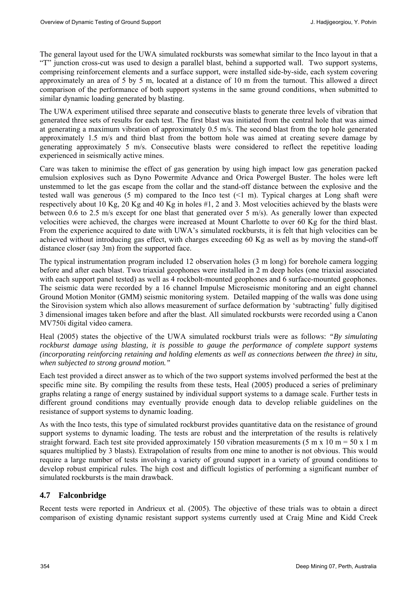The general layout used for the UWA simulated rockbursts was somewhat similar to the Inco layout in that a "T" junction cross-cut was used to design a parallel blast, behind a supported wall. Two support systems, comprising reinforcement elements and a surface support, were installed side-by-side, each system covering approximately an area of 5 by 5 m, located at a distance of 10 m from the turnout. This allowed a direct comparison of the performance of both support systems in the same ground conditions, when submitted to similar dynamic loading generated by blasting.

The UWA experiment utilised three separate and consecutive blasts to generate three levels of vibration that generated three sets of results for each test. The first blast was initiated from the central hole that was aimed at generating a maximum vibration of approximately 0.5 m/s. The second blast from the top hole generated approximately 1.5 m/s and third blast from the bottom hole was aimed at creating severe damage by generating approximately 5 m/s. Consecutive blasts were considered to reflect the repetitive loading experienced in seismically active mines.

Care was taken to minimise the effect of gas generation by using high impact low gas generation packed emulsion explosives such as Dyno Powermite Advance and Orica Powergel Buster. The holes were left unstemmed to let the gas escape from the collar and the stand-off distance between the explosive and the tested wall was generous (5 m) compared to the Inco test (<1 m). Typical charges at Long shaft were respectively about 10 Kg, 20 Kg and 40 Kg in holes  $#1$ , 2 and 3. Most velocities achieved by the blasts were between 0.6 to 2.5 m/s except for one blast that generated over 5 m/s). As generally lower than expected velocities were achieved, the charges were increased at Mount Charlotte to over 60 Kg for the third blast. From the experience acquired to date with UWA's simulated rockbursts, it is felt that high velocities can be achieved without introducing gas effect, with charges exceeding 60 Kg as well as by moving the stand-off distance closer (say 3m) from the supported face.

The typical instrumentation program included 12 observation holes (3 m long) for borehole camera logging before and after each blast. Two triaxial geophones were installed in 2 m deep holes (one triaxial associated with each support panel tested) as well as 4 rockbolt-mounted geophones and 6 surface-mounted geophones. The seismic data were recorded by a 16 channel Impulse Microseismic monitoring and an eight channel Ground Motion Monitor (GMM) seismic monitoring system. Detailed mapping of the walls was done using the Sirovision system which also allows measurement of surface deformation by 'subtracting' fully digitised 3 dimensional images taken before and after the blast. All simulated rockbursts were recorded using a Canon MV750i digital video camera.

Heal (2005) states the objective of the UWA simulated rockburst trials were as follows: *"By simulating rockburst damage using blasting, it is possible to gauge the performance of complete support systems (incorporating reinforcing retaining and holding elements as well as connections between the three) in situ, when subjected to strong ground motion."* 

Each test provided a direct answer as to which of the two support systems involved performed the best at the specific mine site. By compiling the results from these tests, Heal (2005) produced a series of preliminary graphs relating a range of energy sustained by individual support systems to a damage scale. Further tests in different ground conditions may eventually provide enough data to develop reliable guidelines on the resistance of support systems to dynamic loading.

As with the Inco tests, this type of simulated rockburst provides quantitative data on the resistance of ground support systems to dynamic loading. The tests are robust and the interpretation of the results is relatively straight forward. Each test site provided approximately 150 vibration measurements (5 m x 10 m = 50 x 1 m squares multiplied by 3 blasts). Extrapolation of results from one mine to another is not obvious. This would require a large number of tests involving a variety of ground support in a variety of ground conditions to develop robust empirical rules. The high cost and difficult logistics of performing a significant number of simulated rockbursts is the main drawback.

### **4.7 Falconbridge**

Recent tests were reported in Andrieux et al. (2005). The objective of these trials was to obtain a direct comparison of existing dynamic resistant support systems currently used at Craig Mine and Kidd Creek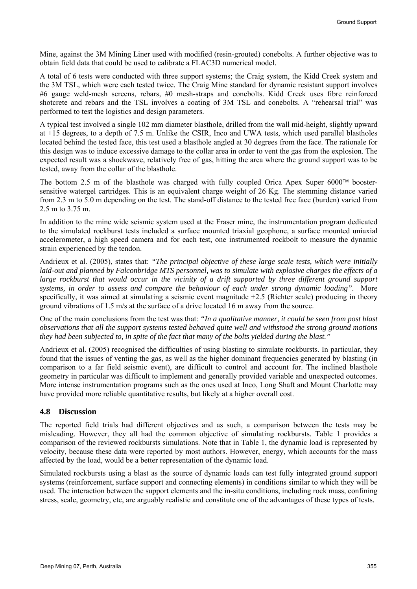Mine, against the 3M Mining Liner used with modified (resin-grouted) conebolts. A further objective was to obtain field data that could be used to calibrate a FLAC3D numerical model.

A total of 6 tests were conducted with three support systems; the Craig system, the Kidd Creek system and the 3M TSL, which were each tested twice. The Craig Mine standard for dynamic resistant support involves #6 gauge weld-mesh screens, rebars, #0 mesh-straps and conebolts. Kidd Creek uses fibre reinforced shotcrete and rebars and the TSL involves a coating of 3M TSL and conebolts. A "rehearsal trial" was performed to test the logistics and design parameters.

A typical test involved a single 102 mm diameter blasthole, drilled from the wall mid-height, slightly upward at +15 degrees, to a depth of 7.5 m. Unlike the CSIR, Inco and UWA tests, which used parallel blastholes located behind the tested face, this test used a blasthole angled at 30 degrees from the face. The rationale for this design was to induce excessive damage to the collar area in order to vent the gas from the explosion. The expected result was a shockwave, relatively free of gas, hitting the area where the ground support was to be tested, away from the collar of the blasthole.

The bottom 2.5 m of the blasthole was charged with fully coupled Orica Apex Super 6000™ boostersensitive watergel cartridges. This is an equivalent charge weight of 26 Kg. The stemming distance varied from 2.3 m to 5.0 m depending on the test. The stand-off distance to the tested free face (burden) varied from 2.5 m to 3.75 m.

In addition to the mine wide seismic system used at the Fraser mine, the instrumentation program dedicated to the simulated rockburst tests included a surface mounted triaxial geophone, a surface mounted uniaxial accelerometer, a high speed camera and for each test, one instrumented rockbolt to measure the dynamic strain experienced by the tendon.

Andrieux et al. (2005), states that: *"The principal objective of these large scale tests, which were initially laid-out and planned by Falconbridge MTS personnel, was to simulate with explosive charges the effects of a*  large rockburst that would occur in the vicinity of a drift supported by three different ground support *systems, in order to assess and compare the behaviour of each under strong dynamic loading".* More specifically, it was aimed at simulating a seismic event magnitude +2.5 (Richter scale) producing in theory ground vibrations of 1.5 m/s at the surface of a drive located 16 m away from the source.

One of the main conclusions from the test was that: *"In a qualitative manner, it could be seen from post blast observations that all the support systems tested behaved quite well and withstood the strong ground motions they had been subjected to, in spite of the fact that many of the bolts yielded during the blast."*

Andrieux et al. (2005) recognised the difficulties of using blasting to simulate rockbursts. In particular, they found that the issues of venting the gas, as well as the higher dominant frequencies generated by blasting (in comparison to a far field seismic event), are difficult to control and account for. The inclined blasthole geometry in particular was difficult to implement and generally provided variable and unexpected outcomes. More intense instrumentation programs such as the ones used at Inco, Long Shaft and Mount Charlotte may have provided more reliable quantitative results, but likely at a higher overall cost.

### **4.8 Discussion**

The reported field trials had different objectives and as such, a comparison between the tests may be misleading. However, they all had the common objective of simulating rockbursts. Table 1 provides a comparison of the reviewed rockbursts simulations. Note that in Table 1, the dynamic load is represented by velocity, because these data were reported by most authors. However, energy, which accounts for the mass affected by the load, would be a better representation of the dynamic load.

Simulated rockbursts using a blast as the source of dynamic loads can test fully integrated ground support systems (reinforcement, surface support and connecting elements) in conditions similar to which they will be used. The interaction between the support elements and the in-situ conditions, including rock mass, confining stress, scale, geometry, etc, are arguably realistic and constitute one of the advantages of these types of tests.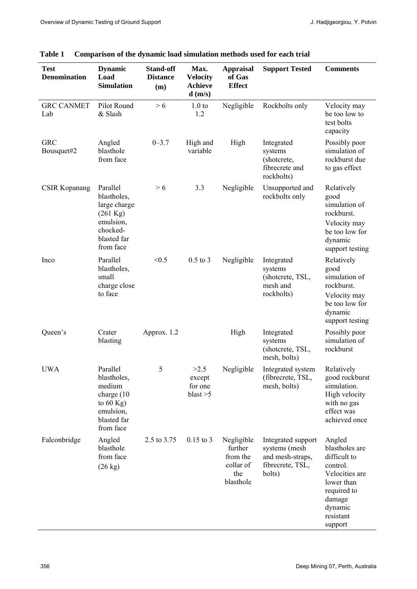| <b>Test</b><br><b>Denomination</b> | <b>Dynamic</b><br>Load<br><b>Simulation</b>                                                                        | <b>Stand-off</b><br><b>Distance</b><br>(m) | Max.<br><b>Velocity</b><br><b>Achieve</b><br>$d$ (m/s) | <b>Appraisal</b><br>of Gas<br><b>Effect</b>                        | <b>Support Tested</b>                                                                 | <b>Comments</b>                                                                                                                                  |
|------------------------------------|--------------------------------------------------------------------------------------------------------------------|--------------------------------------------|--------------------------------------------------------|--------------------------------------------------------------------|---------------------------------------------------------------------------------------|--------------------------------------------------------------------------------------------------------------------------------------------------|
| <b>GRC CANMET</b><br>Lab           | Pilot Round<br>& Slash                                                                                             | > 6                                        | 1.0 <sub>to</sub><br>1.2                               | Negligible                                                         | Rockbolts only                                                                        | Velocity may<br>be too low to<br>test bolts<br>capacity                                                                                          |
| <b>GRC</b><br>Bousquet#2           | Angled<br>blasthole<br>from face                                                                                   | $0 - 3.7$                                  | High and<br>variable                                   | High                                                               | Integrated<br>systems<br>(shotcrete,<br>fibrecrete and<br>rockbolts)                  | Possibly poor<br>simulation of<br>rockburst due<br>to gas effect                                                                                 |
| <b>CSIR Kopanang</b>               | Parallel<br>blastholes,<br>large charge<br>$(261 \text{ Kg})$<br>emulsion,<br>chocked-<br>blasted far<br>from face | > 6                                        | 3.3                                                    | Negligible                                                         | Unsupported and<br>rockbolts only                                                     | Relatively<br>good<br>simulation of<br>rockburst.<br>Velocity may<br>be too low for<br>dynamic<br>support testing                                |
| Inco                               | Parallel<br>blastholes,<br>small<br>charge close<br>to face                                                        | < 0.5                                      | $0.5$ to $3$                                           | Negligible                                                         | Integrated<br>systems<br>(shotcrete, TSL,<br>mesh and<br>rockbolts)                   | Relatively<br>good<br>simulation of<br>rockburst.<br>Velocity may<br>be too low for<br>dynamic<br>support testing                                |
| Queen's                            | Crater<br>blasting                                                                                                 | Approx. 1.2                                |                                                        | High                                                               | Integrated<br>systems<br>(shotcrete, TSL,<br>mesh, bolts)                             | Possibly poor<br>simulation of<br>rockburst                                                                                                      |
| <b>UWA</b>                         | Parallel<br>blastholes,<br>medium<br>charge (10)<br>to $60$ Kg)<br>emulsion,<br>blasted far<br>from face           | 5                                          | >2.5<br>except<br>for one<br>blast $>5$                | Negligible                                                         | Integrated system<br>(fibrecrete, TSL,<br>mesh, bolts)                                | Relatively<br>good rockburst<br>simulation.<br>High velocity<br>with no gas<br>effect was<br>achieved once                                       |
| Falconbridge                       | Angled<br>blasthole<br>from face<br>$(26 \text{ kg})$                                                              | 2.5 to 3.75                                | $0.15$ to 3                                            | Negligible<br>further<br>from the<br>collar of<br>the<br>blasthole | Integrated support<br>systems (mesh<br>and mesh-straps,<br>fibrecrete, TSL,<br>bolts) | Angled<br>blastholes are<br>difficult to<br>control.<br>Velocities are<br>lower than<br>required to<br>damage<br>dynamic<br>resistant<br>support |

# **Table 1 Comparison of the dynamic load simulation methods used for each trial**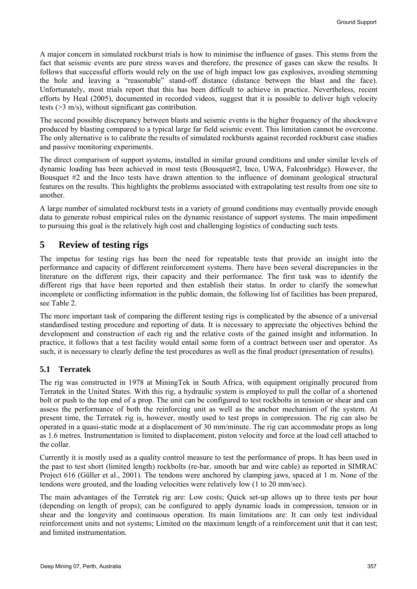A major concern in simulated rockburst trials is how to minimise the influence of gases. This stems from the fact that seismic events are pure stress waves and therefore, the presence of gases can skew the results. It follows that successful efforts would rely on the use of high impact low gas explosives, avoiding stemming the hole and leaving a "reasonable" stand-off distance (distance between the blast and the face). Unfortunately, most trials report that this has been difficult to achieve in practice. Nevertheless, recent efforts by Heal (2005), documented in recorded videos, suggest that it is possible to deliver high velocity tests (>3 m/s), without significant gas contribution.

The second possible discrepancy between blasts and seismic events is the higher frequency of the shockwave produced by blasting compared to a typical large far field seismic event. This limitation cannot be overcome. The only alternative is to calibrate the results of simulated rockbursts against recorded rockburst case studies and passive monitoring experiments.

The direct comparison of support systems, installed in similar ground conditions and under similar levels of dynamic loading has been achieved in most tests (Bousquet#2, Inco, UWA, Falconbridge). However, the Bousquet #2 and the Inco tests have drawn attention to the influence of dominant geological structural features on the results. This highlights the problems associated with extrapolating test results from one site to another.

A large number of simulated rockburst tests in a variety of ground conditions may eventually provide enough data to generate robust empirical rules on the dynamic resistance of support systems. The main impediment to pursuing this goal is the relatively high cost and challenging logistics of conducting such tests.

# **5 Review of testing rigs**

The impetus for testing rigs has been the need for repeatable tests that provide an insight into the performance and capacity of different reinforcement systems. There have been several discrepancies in the literature on the different rigs, their capacity and their performance. The first task was to identify the different rigs that have been reported and then establish their status. In order to clarify the somewhat incomplete or conflicting information in the public domain, the following list of facilities has been prepared, see Table 2.

The more important task of comparing the different testing rigs is complicated by the absence of a universal standardised testing procedure and reporting of data. It is necessary to appreciate the objectives behind the development and construction of each rig and the relative costs of the gained insight and information. In practice, it follows that a test facility would entail some form of a contract between user and operator. As such, it is necessary to clearly define the test procedures as well as the final product (presentation of results).

# **5.1 Terratek**

The rig was constructed in 1978 at MiningTek in South Africa, with equipment originally procured from Terratek in the United States. With this rig, a hydraulic system is employed to pull the collar of a shortened bolt or push to the top end of a prop. The unit can be configured to test rockbolts in tension or shear and can assess the performance of both the reinforcing unit as well as the anchor mechanism of the system. At present time, the Terratek rig is, however, mostly used to test props in compression. The rig can also be operated in a quasi-static mode at a displacement of 30 mm/minute. The rig can accommodate props as long as 1.6 metres. Instrumentation is limited to displacement, piston velocity and force at the load cell attached to the collar.

Currently it is mostly used as a quality control measure to test the performance of props. It has been used in the past to test short (limited length) rockbolts (re-bar, smooth bar and wire cable) as reported in SIMRAC Project 616 (Güller et al., 2001). The tendons were anchored by clamping jaws, spaced at 1 m. None of the tendons were grouted, and the loading velocities were relatively low (1 to 20 mm/sec).

The main advantages of the Terratek rig are: Low costs; Quick set-up allows up to three tests per hour (depending on length of props); can be configured to apply dynamic loads in compression, tension or in shear and the longevity and continuous operation. Its main limitations are: It can only test individual reinforcement units and not systems; Limited on the maximum length of a reinforcement unit that it can test; and limited instrumentation.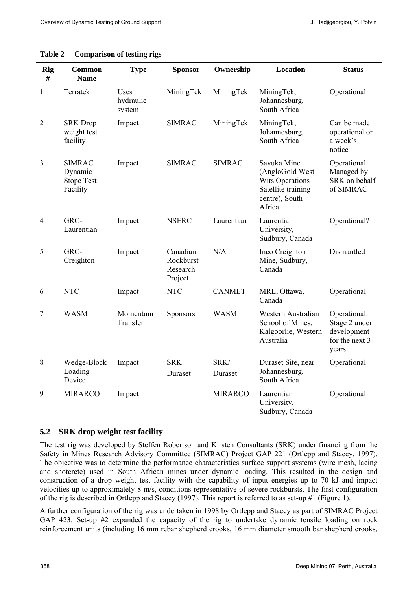| Rig<br>#       | Common<br><b>Name</b>                                     | <b>Type</b>                        | <b>Sponsor</b>                               | Ownership       | Location                                                                                                   | <b>Status</b>                                                           |
|----------------|-----------------------------------------------------------|------------------------------------|----------------------------------------------|-----------------|------------------------------------------------------------------------------------------------------------|-------------------------------------------------------------------------|
| $\mathbf{1}$   | Terratek                                                  | <b>Uses</b><br>hydraulic<br>system | MiningTek                                    | MiningTek       | MiningTek,<br>Johannesburg,<br>South Africa                                                                | Operational                                                             |
| $\overline{2}$ | <b>SRK</b> Drop<br>weight test<br>facility                | Impact                             | <b>SIMRAC</b>                                | MiningTek       | MiningTek,<br>Johannesburg,<br>South Africa                                                                | Can be made<br>operational on<br>a week's<br>notice                     |
| $\overline{3}$ | <b>SIMRAC</b><br>Dynamic<br><b>Stope Test</b><br>Facility | Impact                             | <b>SIMRAC</b>                                | <b>SIMRAC</b>   | Savuka Mine<br>(AngloGold West<br><b>Wits Operations</b><br>Satellite training<br>centre), South<br>Africa | Operational.<br>Managed by<br>SRK on behalf<br>of SIMRAC                |
| 4              | GRC-<br>Laurentian                                        | Impact                             | <b>NSERC</b>                                 | Laurentian      | Laurentian<br>University,<br>Sudbury, Canada                                                               | Operational?                                                            |
| 5              | GRC-<br>Creighton                                         | Impact                             | Canadian<br>Rockburst<br>Research<br>Project | N/A             | Inco Creighton<br>Mine, Sudbury,<br>Canada                                                                 | Dismantled                                                              |
| 6              | <b>NTC</b>                                                | Impact                             | <b>NTC</b>                                   | <b>CANMET</b>   | MRL, Ottawa,<br>Canada                                                                                     | Operational                                                             |
| $\tau$         | <b>WASM</b>                                               | Momentum<br>Transfer               | <b>Sponsors</b>                              | <b>WASM</b>     | Western Australian<br>School of Mines,<br>Kalgoorlie, Western<br>Australia                                 | Operational.<br>Stage 2 under<br>development<br>for the next 3<br>years |
| 8              | Wedge-Block<br>Loading<br>Device                          | Impact                             | <b>SRK</b><br>Duraset                        | SRK/<br>Duraset | Duraset Site, near<br>Johannesburg,<br>South Africa                                                        | Operational                                                             |
| 9              | <b>MIRARCO</b>                                            | Impact                             |                                              | <b>MIRARCO</b>  | Laurentian<br>University,<br>Sudbury, Canada                                                               | Operational                                                             |

#### **Table 2 Comparison of testing rigs**

#### **5.2 SRK drop weight test facility**

The test rig was developed by Steffen Robertson and Kirsten Consultants (SRK) under financing from the Safety in Mines Research Advisory Committee (SIMRAC) Project GAP 221 (Ortlepp and Stacey, 1997). The objective was to determine the performance characteristics surface support systems (wire mesh, lacing and shotcrete) used in South African mines under dynamic loading. This resulted in the design and construction of a drop weight test facility with the capability of input energies up to 70 kJ and impact velocities up to approximately 8 m/s, conditions representative of severe rockbursts. The first configuration of the rig is described in Ortlepp and Stacey (1997). This report is referred to as set-up #1 (Figure 1).

A further configuration of the rig was undertaken in 1998 by Ortlepp and Stacey as part of SIMRAC Project GAP 423. Set-up #2 expanded the capacity of the rig to undertake dynamic tensile loading on rock reinforcement units (including 16 mm rebar shepherd crooks, 16 mm diameter smooth bar shepherd crooks,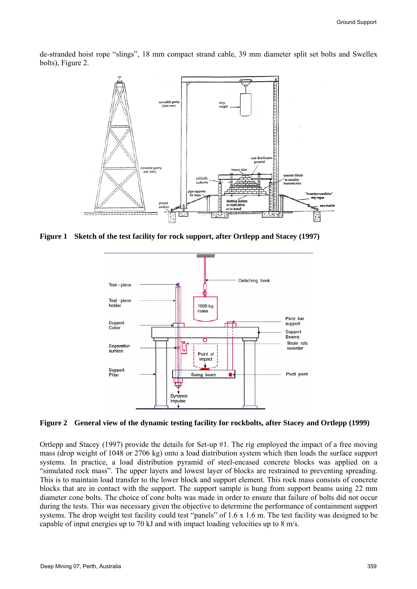de-stranded hoist rope "slings", 18 mm compact strand cable, 39 mm diameter split set bolts and Swellex bolts), Figure 2.



**Figure 1 Sketch of the test facility for rock support, after Ortlepp and Stacey (1997)** 



**Figure 2 General view of the dynamic testing facility for rockbolts, after Stacey and Ortlepp (1999)** 

Ortlepp and Stacey (1997) provide the details for Set-up #1. The rig employed the impact of a free moving mass (drop weight of 1048 or 2706 kg) onto a load distribution system which then loads the surface support systems. In practice, a load distribution pyramid of steel-encased concrete blocks was applied on a "simulated rock mass". The upper layers and lowest layer of blocks are restrained to preventing spreading. This is to maintain load transfer to the lower block and support element. This rock mass consists of concrete blocks that are in contact with the support. The support sample is hung from support beams using 22 mm diameter cone bolts. The choice of cone bolts was made in order to ensure that failure of bolts did not occur during the tests. This was necessary given the objective to determine the performance of containment support systems. The drop weight test facility could test "panels" of 1.6 x 1.6 m. The test facility was designed to be capable of input energies up to 70 kJ and with impact loading velocities up to 8 m/s.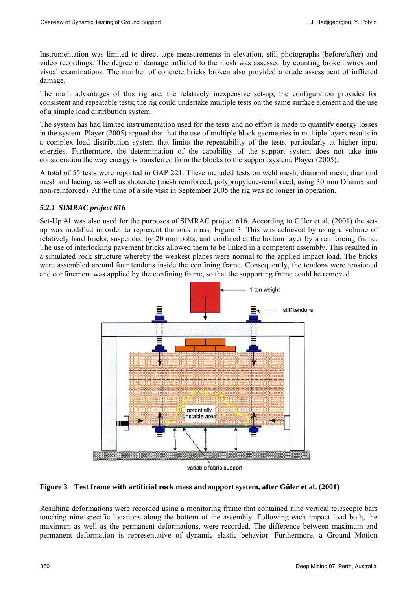Instrumentation was limited to direct tape measurements in elevation, still photographs (before/after) and video recordings. The degree of damage inflicted to the mesh was assessed by counting broken wires and visual examinations. The number of concrete bricks broken also provided a crude assessment of inflicted damage.

The main advantages of this rig are: the relatively inexpensive set-up; the configuration provides for consistent and repeatable tests; the rig could undertake multiple tests on the same surface element and the use of a simple load distribution system.

The system has had limited instrumentation used for the tests and no effort is made to quantify energy losses in the system. Player (2005) argued that that the use of multiple block geometries in multiple layers results in a complex load distribution system that limits the repeatability of the tests, particularly at higher input energies. Furthermore, the determination of the capability of the support system does not take into consideration the way energy is transferred from the blocks to the support system, Player (2005).

A total of 55 tests were reported in GAP 221. These included tests on weld mesh, diamond mesh, diamond mesh and lacing, as well as shotcrete (mesh reinforced, polypropylene-reinforced, using 30 mm Dramix and non-reinforced). At the time of a site visit in September 2005 the rig was no longer in operation.

#### *5.2.1 SIMRAC project 616*

Set-Up #1 was also used for the purposes of SIMRAC project 616. According to Güler et al. (2001) the setup was modified in order to represent the rock mass, Figure 3. This was achieved by using a volume of relatively hard bricks, suspended by 20 mm bolts, and confined at the bottom layer by a reinforcing frame. The use of interlocking pavement bricks allowed them to be linked in a competent assembly. This resulted in a simulated rock structure whereby the weakest planes were normal to the applied impact load. The bricks were assembled around four tendons inside the confining frame. Consequently, the tendons were tensioned and confinement was applied by the confining frame, so that the supporting frame could be removed.



#### **Figure 3 Test frame with artificial rock mass and support system, after Güler et al. (2001)**

Resulting deformations were recorded using a monitoring frame that contained nine vertical telescopic bars touching nine specific locations along the bottom of the assembly. Following each impact load both, the maximum as well as the permanent deformations, were recorded. The difference between maximum and permanent deformation is representative of dynamic elastic behavior. Furthermore, a Ground Motion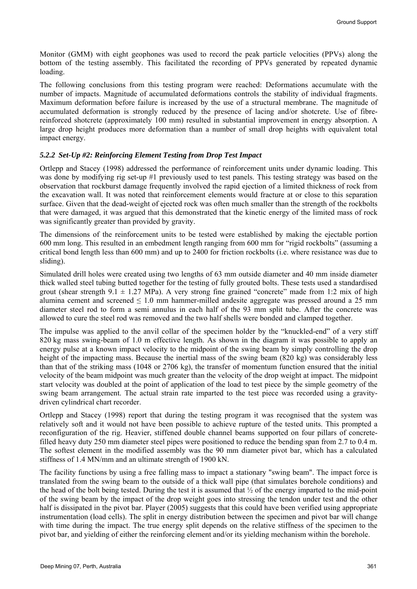Monitor (GMM) with eight geophones was used to record the peak particle velocities (PPVs) along the bottom of the testing assembly. This facilitated the recording of PPVs generated by repeated dynamic loading.

The following conclusions from this testing program were reached: Deformations accumulate with the number of impacts. Magnitude of accumulated deformations controls the stability of individual fragments. Maximum deformation before failure is increased by the use of a structural membrane. The magnitude of accumulated deformation is strongly reduced by the presence of lacing and/or shotcrete. Use of fibrereinforced shotcrete (approximately 100 mm) resulted in substantial improvement in energy absorption. A large drop height produces more deformation than a number of small drop heights with equivalent total impact energy.

#### *5.2.2 Set-Up #2: Reinforcing Element Testing from Drop Test Impact*

Ortlepp and Stacey (1998) addressed the performance of reinforcement units under dynamic loading. This was done by modifying rig set-up #1 previously used to test panels. This testing strategy was based on the observation that rockburst damage frequently involved the rapid ejection of a limited thickness of rock from the excavation wall. It was noted that reinforcement elements would fracture at or close to this separation surface. Given that the dead-weight of ejected rock was often much smaller than the strength of the rockbolts that were damaged, it was argued that this demonstrated that the kinetic energy of the limited mass of rock was significantly greater than provided by gravity.

The dimensions of the reinforcement units to be tested were established by making the ejectable portion 600 mm long. This resulted in an embedment length ranging from 600 mm for "rigid rockbolts" (assuming a critical bond length less than 600 mm) and up to 2400 for friction rockbolts (i.e. where resistance was due to sliding).

Simulated drill holes were created using two lengths of 63 mm outside diameter and 40 mm inside diameter thick walled steel tubing butted together for the testing of fully grouted bolts. These tests used a standardised grout (shear strength  $9.1 \pm 1.27$  MPa). A very strong fine grained "concrete" made from 1:2 mix of high alumina cement and screened  $\leq 1.0$  mm hammer-milled andesite aggregate was pressed around a 25 mm diameter steel rod to form a semi annulus in each half of the 93 mm split tube. After the concrete was allowed to cure the steel rod was removed and the two half shells were bonded and clamped together.

The impulse was applied to the anvil collar of the specimen holder by the "knuckled-end" of a very stiff 820 kg mass swing-beam of 1.0 m effective length. As shown in the diagram it was possible to apply an energy pulse at a known impact velocity to the midpoint of the swing beam by simply controlling the drop height of the impacting mass. Because the inertial mass of the swing beam (820 kg) was considerably less than that of the striking mass (1048 or 2706 kg), the transfer of momentum function ensured that the initial velocity of the beam midpoint was much greater than the velocity of the drop weight at impact. The midpoint start velocity was doubled at the point of application of the load to test piece by the simple geometry of the swing beam arrangement. The actual strain rate imparted to the test piece was recorded using a gravitydriven cylindrical chart recorder.

Ortlepp and Stacey (1998) report that during the testing program it was recognised that the system was relatively soft and it would not have been possible to achieve rupture of the tested units. This prompted a reconfiguration of the rig. Heavier, stiffened double channel beams supported on four pillars of concretefilled heavy duty 250 mm diameter steel pipes were positioned to reduce the bending span from 2.7 to 0.4 m. The softest element in the modified assembly was the 90 mm diameter pivot bar, which has a calculated stiffness of 1.4 MN/mm and an ultimate strength of 1900 kN.

The facility functions by using a free falling mass to impact a stationary "swing beam". The impact force is translated from the swing beam to the outside of a thick wall pipe (that simulates borehole conditions) and the head of the bolt being tested. During the test it is assumed that ½ of the energy imparted to the mid-point of the swing beam by the impact of the drop weight goes into stressing the tendon under test and the other half is dissipated in the pivot bar. Player (2005) suggests that this could have been verified using appropriate instrumentation (load cells). The split in energy distribution between the specimen and pivot bar will change with time during the impact. The true energy split depends on the relative stiffness of the specimen to the pivot bar, and yielding of either the reinforcing element and/or its yielding mechanism within the borehole.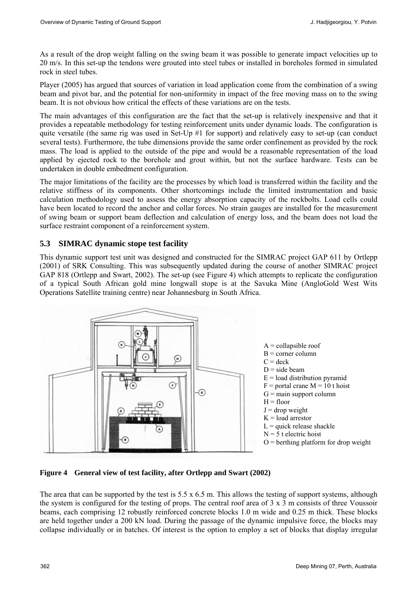As a result of the drop weight falling on the swing beam it was possible to generate impact velocities up to 20 m/s. In this set-up the tendons were grouted into steel tubes or installed in boreholes formed in simulated rock in steel tubes.

Player (2005) has argued that sources of variation in load application come from the combination of a swing beam and pivot bar, and the potential for non-uniformity in impact of the free moving mass on to the swing beam. It is not obvious how critical the effects of these variations are on the tests.

The main advantages of this configuration are the fact that the set-up is relatively inexpensive and that it provides a repeatable methodology for testing reinforcement units under dynamic loads. The configuration is quite versatile (the same rig was used in Set-Up #1 for support) and relatively easy to set-up (can conduct several tests). Furthermore, the tube dimensions provide the same order confinement as provided by the rock mass. The load is applied to the outside of the pipe and would be a reasonable representation of the load applied by ejected rock to the borehole and grout within, but not the surface hardware. Tests can be undertaken in double embedment configuration.

The major limitations of the facility are the processes by which load is transferred within the facility and the relative stiffness of its components. Other shortcomings include the limited instrumentation and basic calculation methodology used to assess the energy absorption capacity of the rockbolts. Load cells could have been located to record the anchor and collar forces. No strain gauges are installed for the measurement of swing beam or support beam deflection and calculation of energy loss, and the beam does not load the surface restraint component of a reinforcement system.

# **5.3 SIMRAC dynamic stope test facility**

This dynamic support test unit was designed and constructed for the SIMRAC project GAP 611 by Ortlepp (2001) of SRK Consulting. This was subsequently updated during the course of another SIMRAC project GAP 818 (Ortlepp and Swart, 2002). The set-up (see Figure 4) which attempts to replicate the configuration of a typical South African gold mine longwall stope is at the Savuka Mine (AngloGold West Wits Operations Satellite training centre) near Johannesburg in South Africa.



**Figure 4 General view of test facility, after Ortlepp and Swart (2002)** 

The area that can be supported by the test is  $5.5 \times 6.5$  m. This allows the testing of support systems, although the system is configured for the testing of props. The central roof area of 3 x 3 m consists of three Voussoir beams, each comprising 12 robustly reinforced concrete blocks 1.0 m wide and 0.25 m thick. These blocks are held together under a 200 kN load. During the passage of the dynamic impulsive force, the blocks may collapse individually or in batches. Of interest is the option to employ a set of blocks that display irregular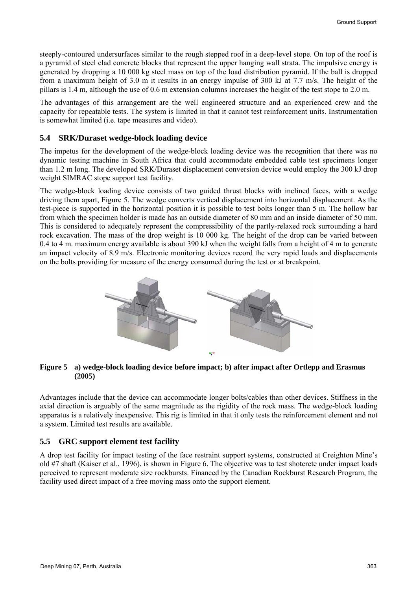steeply-contoured undersurfaces similar to the rough stepped roof in a deep-level stope. On top of the roof is a pyramid of steel clad concrete blocks that represent the upper hanging wall strata. The impulsive energy is generated by dropping a 10 000 kg steel mass on top of the load distribution pyramid. If the ball is dropped from a maximum height of 3.0 m it results in an energy impulse of 300 kJ at 7.7 m/s. The height of the pillars is 1.4 m, although the use of 0.6 m extension columns increases the height of the test stope to 2.0 m.

The advantages of this arrangement are the well engineered structure and an experienced crew and the capacity for repeatable tests. The system is limited in that it cannot test reinforcement units. Instrumentation is somewhat limited (i.e. tape measures and video).

### **5.4 SRK/Duraset wedge-block loading device**

The impetus for the development of the wedge-block loading device was the recognition that there was no dynamic testing machine in South Africa that could accommodate embedded cable test specimens longer than 1.2 m long. The developed SRK/Duraset displacement conversion device would employ the 300 kJ drop weight SIMRAC stope support test facility.

The wedge-block loading device consists of two guided thrust blocks with inclined faces, with a wedge driving them apart, Figure 5. The wedge converts vertical displacement into horizontal displacement. As the test-piece is supported in the horizontal position it is possible to test bolts longer than 5 m. The hollow bar from which the specimen holder is made has an outside diameter of 80 mm and an inside diameter of 50 mm. This is considered to adequately represent the compressibility of the partly-relaxed rock surrounding a hard rock excavation. The mass of the drop weight is 10 000 kg. The height of the drop can be varied between 0.4 to 4 m. maximum energy available is about 390 kJ when the weight falls from a height of 4 m to generate an impact velocity of 8.9 m/s. Electronic monitoring devices record the very rapid loads and displacements on the bolts providing for measure of the energy consumed during the test or at breakpoint.



#### **Figure 5 a) wedge-block loading device before impact; b) after impact after Ortlepp and Erasmus (2005)**

Advantages include that the device can accommodate longer bolts/cables than other devices. Stiffness in the axial direction is arguably of the same magnitude as the rigidity of the rock mass. The wedge-block loading apparatus is a relatively inexpensive. This rig is limited in that it only tests the reinforcement element and not a system. Limited test results are available.

### **5.5 GRC support element test facility**

A drop test facility for impact testing of the face restraint support systems, constructed at Creighton Mine's old #7 shaft (Kaiser et al., 1996), is shown in Figure 6. The objective was to test shotcrete under impact loads perceived to represent moderate size rockbursts. Financed by the Canadian Rockburst Research Program, the facility used direct impact of a free moving mass onto the support element.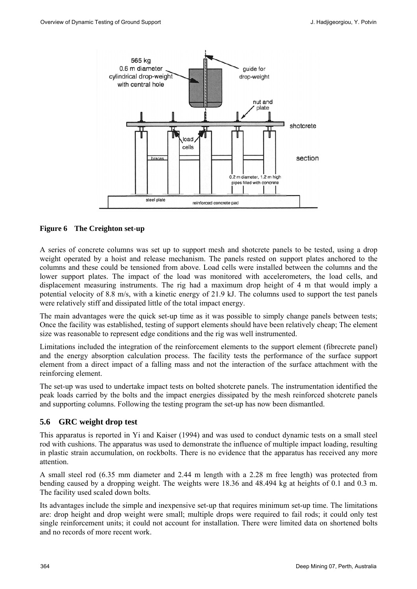

#### **Figure 6 The Creighton set-up**

A series of concrete columns was set up to support mesh and shotcrete panels to be tested, using a drop weight operated by a hoist and release mechanism. The panels rested on support plates anchored to the columns and these could be tensioned from above. Load cells were installed between the columns and the lower support plates. The impact of the load was monitored with accelerometers, the load cells, and displacement measuring instruments. The rig had a maximum drop height of 4 m that would imply a potential velocity of 8.8 m/s, with a kinetic energy of 21.9 kJ. The columns used to support the test panels were relatively stiff and dissipated little of the total impact energy.

The main advantages were the quick set-up time as it was possible to simply change panels between tests; Once the facility was established, testing of support elements should have been relatively cheap; The element size was reasonable to represent edge conditions and the rig was well instrumented.

Limitations included the integration of the reinforcement elements to the support element (fibrecrete panel) and the energy absorption calculation process. The facility tests the performance of the surface support element from a direct impact of a falling mass and not the interaction of the surface attachment with the reinforcing element.

The set-up was used to undertake impact tests on bolted shotcrete panels. The instrumentation identified the peak loads carried by the bolts and the impact energies dissipated by the mesh reinforced shotcrete panels and supporting columns. Following the testing program the set-up has now been dismantled.

#### **5.6 GRC weight drop test**

This apparatus is reported in Yi and Kaiser (1994) and was used to conduct dynamic tests on a small steel rod with cushions. The apparatus was used to demonstrate the influence of multiple impact loading, resulting in plastic strain accumulation, on rockbolts. There is no evidence that the apparatus has received any more attention.

A small steel rod (6.35 mm diameter and 2.44 m length with a 2.28 m free length) was protected from bending caused by a dropping weight. The weights were 18.36 and 48.494 kg at heights of 0.1 and 0.3 m. The facility used scaled down bolts.

Its advantages include the simple and inexpensive set-up that requires minimum set-up time. The limitations are: drop height and drop weight were small; multiple drops were required to fail rods; it could only test single reinforcement units; it could not account for installation. There were limited data on shortened bolts and no records of more recent work.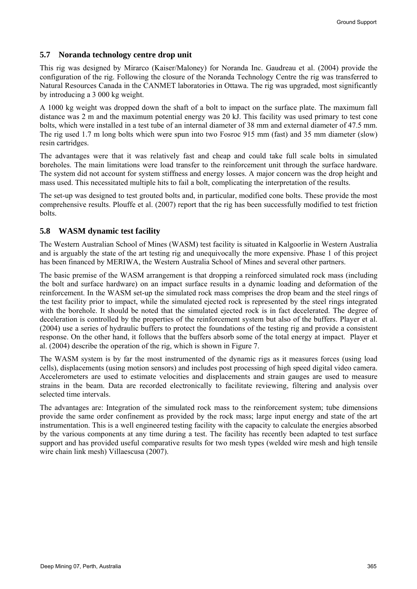#### **5.7 Noranda technology centre drop unit**

This rig was designed by Mirarco (Kaiser/Maloney) for Noranda Inc. Gaudreau et al. (2004) provide the configuration of the rig. Following the closure of the Noranda Technology Centre the rig was transferred to Natural Resources Canada in the CANMET laboratories in Ottawa. The rig was upgraded, most significantly by introducing a 3 000 kg weight.

A 1000 kg weight was dropped down the shaft of a bolt to impact on the surface plate. The maximum fall distance was 2 m and the maximum potential energy was 20 kJ. This facility was used primary to test cone bolts, which were installed in a test tube of an internal diameter of 38 mm and external diameter of 47.5 mm. The rig used 1.7 m long bolts which were spun into two Fosroc 915 mm (fast) and 35 mm diameter (slow) resin cartridges.

The advantages were that it was relatively fast and cheap and could take full scale bolts in simulated boreholes. The main limitations were load transfer to the reinforcement unit through the surface hardware. The system did not account for system stiffness and energy losses. A major concern was the drop height and mass used. This necessitated multiple hits to fail a bolt, complicating the interpretation of the results.

The set-up was designed to test grouted bolts and, in particular, modified cone bolts. These provide the most comprehensive results. Plouffe et al. (2007) report that the rig has been successfully modified to test friction bolts.

### **5.8 WASM dynamic test facility**

The Western Australian School of Mines (WASM) test facility is situated in Kalgoorlie in Western Australia and is arguably the state of the art testing rig and unequivocally the more expensive. Phase 1 of this project has been financed by MERIWA, the Western Australia School of Mines and several other partners.

The basic premise of the WASM arrangement is that dropping a reinforced simulated rock mass (including the bolt and surface hardware) on an impact surface results in a dynamic loading and deformation of the reinforcement. In the WASM set-up the simulated rock mass comprises the drop beam and the steel rings of the test facility prior to impact, while the simulated ejected rock is represented by the steel rings integrated with the borehole. It should be noted that the simulated ejected rock is in fact decelerated. The degree of deceleration is controlled by the properties of the reinforcement system but also of the buffers. Player et al. (2004) use a series of hydraulic buffers to protect the foundations of the testing rig and provide a consistent response. On the other hand, it follows that the buffers absorb some of the total energy at impact. Player et al. (2004) describe the operation of the rig, which is shown in Figure 7.

The WASM system is by far the most instrumented of the dynamic rigs as it measures forces (using load cells), displacements (using motion sensors) and includes post processing of high speed digital video camera. Accelerometers are used to estimate velocities and displacements and strain gauges are used to measure strains in the beam. Data are recorded electronically to facilitate reviewing, filtering and analysis over selected time intervals.

The advantages are: Integration of the simulated rock mass to the reinforcement system; tube dimensions provide the same order confinement as provided by the rock mass; large input energy and state of the art instrumentation. This is a well engineered testing facility with the capacity to calculate the energies absorbed by the various components at any time during a test. The facility has recently been adapted to test surface support and has provided useful comparative results for two mesh types (welded wire mesh and high tensile wire chain link mesh) Villaescusa (2007).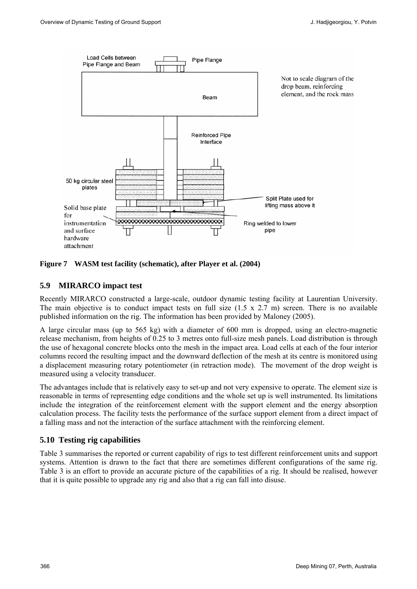

**Figure 7 WASM test facility (schematic), after Player et al. (2004)** 

### **5.9 MIRARCO impact test**

Recently MIRARCO constructed a large-scale, outdoor dynamic testing facility at Laurentian University. The main objective is to conduct impact tests on full size  $(1.5 \times 2.7 \text{ m})$  screen. There is no available published information on the rig. The information has been provided by Maloney (2005).

A large circular mass (up to 565 kg) with a diameter of 600 mm is dropped, using an electro-magnetic release mechanism, from heights of 0.25 to 3 metres onto full-size mesh panels. Load distribution is through the use of hexagonal concrete blocks onto the mesh in the impact area. Load cells at each of the four interior columns record the resulting impact and the downward deflection of the mesh at its centre is monitored using a displacement measuring rotary potentiometer (in retraction mode). The movement of the drop weight is measured using a velocity transducer.

The advantages include that is relatively easy to set-up and not very expensive to operate. The element size is reasonable in terms of representing edge conditions and the whole set up is well instrumented. Its limitations include the integration of the reinforcement element with the support element and the energy absorption calculation process. The facility tests the performance of the surface support element from a direct impact of a falling mass and not the interaction of the surface attachment with the reinforcing element.

#### **5.10 Testing rig capabilities**

Table 3 summarises the reported or current capability of rigs to test different reinforcement units and support systems. Attention is drawn to the fact that there are sometimes different configurations of the same rig. Table 3 is an effort to provide an accurate picture of the capabilities of a rig. It should be realised, however that it is quite possible to upgrade any rig and also that a rig can fall into disuse.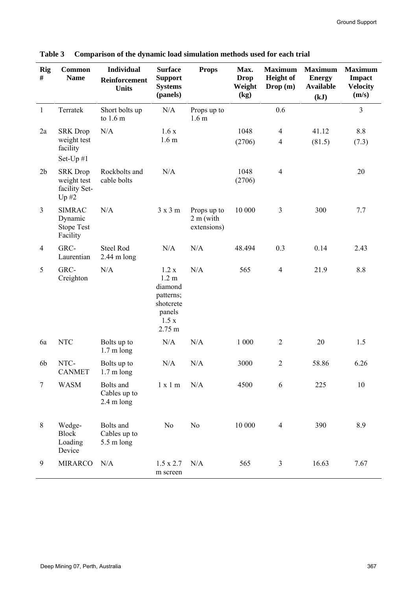| <b>Rig</b><br># | <b>Common</b><br><b>Name</b>                                         | <b>Individual</b><br>Reinforcement<br><b>Units</b> | <b>Surface</b><br><b>Support</b><br><b>Systems</b><br>(panels)                             | <b>Props</b>                             | Max.<br><b>Drop</b><br>Weight<br>(kg) | <b>Maximum</b><br><b>Height</b> of<br>Drop (m) | <b>Maximum</b><br><b>Energy</b><br><b>Available</b><br>(kJ) | <b>Maximum</b><br>Impact<br><b>Velocity</b><br>(m/s) |
|-----------------|----------------------------------------------------------------------|----------------------------------------------------|--------------------------------------------------------------------------------------------|------------------------------------------|---------------------------------------|------------------------------------------------|-------------------------------------------------------------|------------------------------------------------------|
| $\mathbf{1}$    | Terratek                                                             | Short bolts up<br>to 1.6 m                         | N/A                                                                                        | Props up to<br>1.6 <sub>m</sub>          |                                       | 0.6                                            |                                                             | 3                                                    |
| 2a              | <b>SRK</b> Drop<br>weight test<br>facility                           | N/A                                                | 1.6x<br>1.6 <sub>m</sub>                                                                   |                                          | 1048<br>(2706)                        | $\overline{4}$<br>$\overline{4}$               | 41.12<br>(81.5)                                             | 8.8<br>(7.3)                                         |
| 2 <sub>b</sub>  | Set-Up #1<br><b>SRK</b> Drop<br>weight test<br>facility Set-<br>Up#2 | Rockbolts and<br>cable bolts                       | N/A                                                                                        |                                          | 1048<br>(2706)                        | $\overline{4}$                                 |                                                             | 20                                                   |
| $\overline{3}$  | <b>SIMRAC</b><br>Dynamic<br><b>Stope Test</b><br>Facility            | N/A                                                | 3x3m                                                                                       | Props up to<br>$2m$ (with<br>extensions) | 10 000                                | 3                                              | 300                                                         | 7.7                                                  |
| $\overline{4}$  | GRC-<br>Laurentian                                                   | <b>Steel Rod</b><br>$2.44$ m long                  | N/A                                                                                        | N/A                                      | 48.494                                | 0.3                                            | 0.14                                                        | 2.43                                                 |
| 5               | GRC-<br>Creighton                                                    | N/A                                                | 1.2 x<br>1.2 <sub>m</sub><br>diamond<br>patterns;<br>shotcrete<br>panels<br>1.5x<br>2.75 m | N/A                                      | 565                                   | $\overline{4}$                                 | 21.9                                                        | 8.8                                                  |
| 6a              | <b>NTC</b>                                                           | Bolts up to<br>$1.7 \text{ m}$ long                | N/A                                                                                        | N/A                                      | 1 000                                 | $\overline{2}$                                 | 20                                                          | 1.5                                                  |
| 6 <sub>b</sub>  | NTC-<br><b>CANMET</b>                                                | Bolts up to<br>$1.7 \text{ m}$ long                | N/A                                                                                        | N/A                                      | 3000                                  | $\overline{2}$                                 | 58.86                                                       | 6.26                                                 |
| $\tau$          | <b>WASM</b>                                                          | Bolts and<br>Cables up to<br>$2.4 \text{ m}$ long  | 1 x 1 m                                                                                    | N/A                                      | 4500                                  | 6                                              | 225                                                         | 10                                                   |
| 8               | Wedge-<br><b>Block</b><br>Loading<br>Device                          | Bolts and<br>Cables up to<br>5.5 m long            | N <sub>0</sub>                                                                             | N <sub>o</sub>                           | 10 000                                | $\overline{4}$                                 | 390                                                         | 8.9                                                  |
| 9               | <b>MIRARCO</b>                                                       | N/A                                                | $1.5 \times 2.7$<br>m screen                                                               | N/A                                      | 565                                   | $\overline{3}$                                 | 16.63                                                       | 7.67                                                 |

**Table 3 Comparison of the dynamic load simulation methods used for each trial**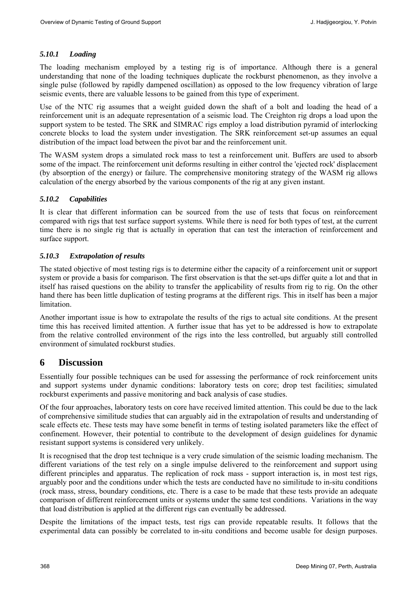### *5.10.1 Loading*

The loading mechanism employed by a testing rig is of importance. Although there is a general understanding that none of the loading techniques duplicate the rockburst phenomenon, as they involve a single pulse (followed by rapidly dampened oscillation) as opposed to the low frequency vibration of large seismic events, there are valuable lessons to be gained from this type of experiment.

Use of the NTC rig assumes that a weight guided down the shaft of a bolt and loading the head of a reinforcement unit is an adequate representation of a seismic load. The Creighton rig drops a load upon the support system to be tested. The SRK and SIMRAC rigs employ a load distribution pyramid of interlocking concrete blocks to load the system under investigation. The SRK reinforcement set-up assumes an equal distribution of the impact load between the pivot bar and the reinforcement unit.

The WASM system drops a simulated rock mass to test a reinforcement unit. Buffers are used to absorb some of the impact. The reinforcement unit deforms resulting in either control the 'ejected rock' displacement (by absorption of the energy) or failure. The comprehensive monitoring strategy of the WASM rig allows calculation of the energy absorbed by the various components of the rig at any given instant.

#### *5.10.2 Capabilities*

It is clear that different information can be sourced from the use of tests that focus on reinforcement compared with rigs that test surface support systems. While there is need for both types of test, at the current time there is no single rig that is actually in operation that can test the interaction of reinforcement and surface support.

#### *5.10.3 Extrapolation of results*

The stated objective of most testing rigs is to determine either the capacity of a reinforcement unit or support system or provide a basis for comparison. The first observation is that the set-ups differ quite a lot and that in itself has raised questions on the ability to transfer the applicability of results from rig to rig. On the other hand there has been little duplication of testing programs at the different rigs. This in itself has been a major limitation.

Another important issue is how to extrapolate the results of the rigs to actual site conditions. At the present time this has received limited attention. A further issue that has yet to be addressed is how to extrapolate from the relative controlled environment of the rigs into the less controlled, but arguably still controlled environment of simulated rockburst studies.

# **6 Discussion**

Essentially four possible techniques can be used for assessing the performance of rock reinforcement units and support systems under dynamic conditions: laboratory tests on core; drop test facilities; simulated rockburst experiments and passive monitoring and back analysis of case studies.

Of the four approaches, laboratory tests on core have received limited attention. This could be due to the lack of comprehensive similitude studies that can arguably aid in the extrapolation of results and understanding of scale effects etc. These tests may have some benefit in terms of testing isolated parameters like the effect of confinement. However, their potential to contribute to the development of design guidelines for dynamic resistant support systems is considered very unlikely.

It is recognised that the drop test technique is a very crude simulation of the seismic loading mechanism. The different variations of the test rely on a single impulse delivered to the reinforcement and support using different principles and apparatus. The replication of rock mass - support interaction is, in most test rigs, arguably poor and the conditions under which the tests are conducted have no similitude to in-situ conditions (rock mass, stress, boundary conditions, etc. There is a case to be made that these tests provide an adequate comparison of different reinforcement units or systems under the same test conditions. Variations in the way that load distribution is applied at the different rigs can eventually be addressed.

Despite the limitations of the impact tests, test rigs can provide repeatable results. It follows that the experimental data can possibly be correlated to in-situ conditions and become usable for design purposes.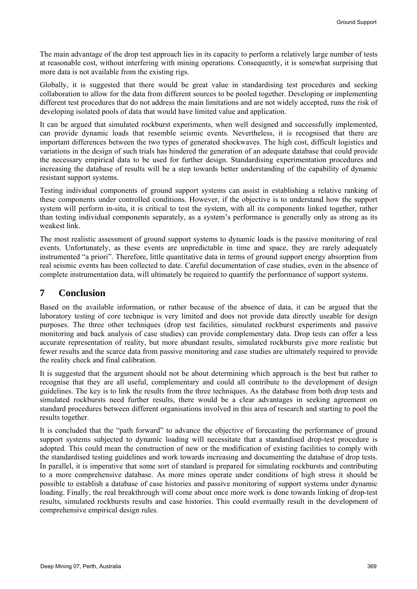The main advantage of the drop test approach lies in its capacity to perform a relatively large number of tests at reasonable cost, without interfering with mining operations. Consequently, it is somewhat surprising that more data is not available from the existing rigs.

Globally, it is suggested that there would be great value in standardising test procedures and seeking collaboration to allow for the data from different sources to be pooled together. Developing or implementing different test procedures that do not address the main limitations and are not widely accepted, runs the risk of developing isolated pools of data that would have limited value and application.

It can be argued that simulated rockburst experiments, when well designed and successfully implemented, can provide dynamic loads that resemble seismic events. Nevertheless, it is recognised that there are important differences between the two types of generated shockwaves. The high cost, difficult logistics and variations in the design of such trials has hindered the generation of an adequate database that could provide the necessary empirical data to be used for further design. Standardising experimentation procedures and increasing the database of results will be a step towards better understanding of the capability of dynamic resistant support systems.

Testing individual components of ground support systems can assist in establishing a relative ranking of these components under controlled conditions. However, if the objective is to understand how the support system will perform in-situ, it is critical to test the system, with all its components linked together, rather than testing individual components separately, as a system's performance is generally only as strong as its weakest link.

The most realistic assessment of ground support systems to dynamic loads is the passive monitoring of real events. Unfortunately, as these events are unpredictable in time and space, they are rarely adequately instrumented "a priori". Therefore, little quantitative data in terms of ground support energy absorption from real seismic events has been collected to date. Careful documentation of case studies, even in the absence of complete instrumentation data, will ultimately be required to quantify the performance of support systems.

# **7 Conclusion**

Based on the available information, or rather because of the absence of data, it can be argued that the laboratory testing of core technique is very limited and does not provide data directly useable for design purposes. The three other techniques (drop test facilities, simulated rockburst experiments and passive monitoring and back analysis of case studies) can provide complementary data. Drop tests can offer a less accurate representation of reality, but more abundant results, simulated rockbursts give more realistic but fewer results and the scarce data from passive monitoring and case studies are ultimately required to provide the reality check and final calibration.

It is suggested that the argument should not be about determining which approach is the best but rather to recognise that they are all useful, complementary and could all contribute to the development of design guidelines. The key is to link the results from the three techniques. As the database from both drop tests and simulated rockbursts need further results, there would be a clear advantages in seeking agreement on standard procedures between different organisations involved in this area of research and starting to pool the results together.

It is concluded that the "path forward" to advance the objective of forecasting the performance of ground support systems subjected to dynamic loading will necessitate that a standardised drop-test procedure is adopted. This could mean the construction of new or the modification of existing facilities to comply with the standardised testing guidelines and work towards increasing and documenting the database of drop tests. In parallel, it is imperative that some sort of standard is prepared for simulating rockbursts and contributing to a more comprehensive database. As more mines operate under conditions of high stress it should be possible to establish a database of case histories and passive monitoring of support systems under dynamic loading. Finally, the real breakthrough will come about once more work is done towards linking of drop-test results, simulated rockbursts results and case histories. This could eventually result in the development of comprehensive empirical design rules.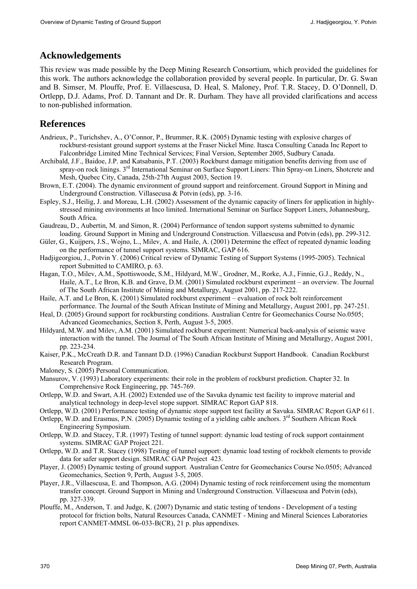# **Acknowledgements**

This review was made possible by the Deep Mining Research Consortium, which provided the guidelines for this work. The authors acknowledge the collaboration provided by several people. In particular, Dr. G. Swan and B. Simser, M. Plouffe, Prof. E. Villaescusa, D. Heal, S. Maloney, Prof. T.R. Stacey, D. O'Donnell, D. Ortlepp, D.J. Adams, Prof. D. Tannant and Dr. R. Durham. They have all provided clarifications and access to non-published information.

# **References**

- Andrieux, P., Turichshev, A., O'Connor, P., Brummer, R.K. (2005) Dynamic testing with explosive charges of rockburst-resistant ground support systems at the Fraser Nickel Mine. Itasca Consulting Canada Inc Report to Falconbridge Limited Mine Technical Services; Final Version, September 2005, Sudbury Canada.
- Archibald, J.F., Baidoe, J.P. and Katsabanis, P.T. (2003) Rockburst damage mitigation benefits deriving from use of spray-on rock linings. 3<sup>rd</sup> International Seminar on Surface Support Liners: Thin Spray-on Liners, Shotcrete and Mesh, Quebec City, Canada, 25th-27th August 2003, Section 19.
- Brown, E.T. (2004). The dynamic environment of ground support and reinforcement. Ground Support in Mining and Underground Construction. Villasecusa & Potvin (eds), pp. 3-16.
- Espley, S.J., Heilig, J. and Moreau, L.H. (2002) Assessment of the dynamic capacity of liners for application in highlystressed mining environments at Inco limited. International Seminar on Surface Support Liners, Johannesburg, South Africa.
- Gaudreau, D., Aubertin, M. and Simon, R. (2004) Performance of tendon support systems submitted to dynamic loading. Ground Support in Mining and Underground Construction. Villaescusa and Potvin (eds), pp. 299-312.
- Güler, G., Kuijpers, J.S., Wojno, L., Milev, A. and Haile, A. (2001) Determine the effect of repeated dynamic loading on the performance of tunnel support systems. SIMRAC, GAP 616.
- Hadjigeorgiou, J., Potvin Y. (2006) Critical review of Dynamic Testing of Support Systems (1995-2005). Technical report Submitted to CAMIRO, p. 63.
- Hagan, T.O., Milev, A.M., Spottiswoode, S.M., Hildyard, M.W., Grodner, M., Rorke, A.J., Finnie, G.J., Reddy, N., Haile, A.T., Le Bron, K.B. and Grave, D.M. (2001) Simulated rockburst experiment – an overview. The Journal of The South African Institute of Mining and Metallurgy, August 2001, pp. 217-222.
- Haile, A.T. and Le Bron, K. (2001) Simulated rockburst experiment evaluation of rock bolt reinforcement performance. The Journal of the South African Institute of Mining and Metallurgy, August 2001, pp. 247-251.
- Heal, D. (2005) Ground support for rockbursting conditions. Australian Centre for Geomechanics Course No.0505; Advanced Geomechanics, Section 8, Perth, August 3-5, 2005.
- Hildyard, M.W. and Milev, A.M. (2001) Simulated rockburst experiment: Numerical back-analysis of seismic wave interaction with the tunnel. The Journal of The South African Institute of Mining and Metallurgy, August 2001, pp. 223-234.
- Kaiser, P.K., McCreath D.R. and Tannant D.D. (1996) Canadian Rockburst Support Handbook. Canadian Rockburst Research Program.

Maloney, S. (2005) Personal Communication.

- Mansurov, V. (1993) Laboratory experiments: their role in the problem of rockburst prediction. Chapter 32. In Comprehensive Rock Engineering, pp. 745-769.
- Ortlepp, W.D. and Swart, A.H. (2002) Extended use of the Savuka dynamic test facility to improve material and analytical technology in deep-level stope support. SIMRAC Report GAP 818.

Ortlepp, W.D. (2001) Performance testing of dynamic stope support test facility at Savuka. SIMRAC Report GAP 611.

- Ortlepp, W.D. and Erasmus, P.N. (2005) Dynamic testing of a yielding cable anchors. 3<sup>rd</sup> Southern African Rock Engineering Symposium.
- Ortlepp, W.D. and Stacey, T.R. (1997) Testing of tunnel support: dynamic load testing of rock support containment systems. SIMRAC GAP Project 221.
- Ortlepp, W.D. and T.R. Stacey (1998) Testing of tunnel support: dynamic load testing of rockbolt elements to provide data for safer support design. SIMRAC GAP Project 423.
- Player, J. (2005) Dynamic testing of ground support. Australian Centre for Geomechanics Course No.0505; Advanced Geomechanics, Section 9, Perth, August 3-5, 2005.
- Player, J.R., Villaescusa, E. and Thompson, A.G. (2004) Dynamic testing of rock reinforcement using the momentum transfer concept. Ground Support in Mining and Underground Construction. Villaescusa and Potvin (eds), pp. 327-339.
- Plouffe, M., Anderson, T. and Judge, K. (2007) Dynamic and static testing of tendons Development of a testing protocol for friction bolts, Natural Resources Canada, CANMET - Mining and Mineral Sciences Laboratories report CANMET-MMSL 06-033-B(CR), 21 p. plus appendixes.